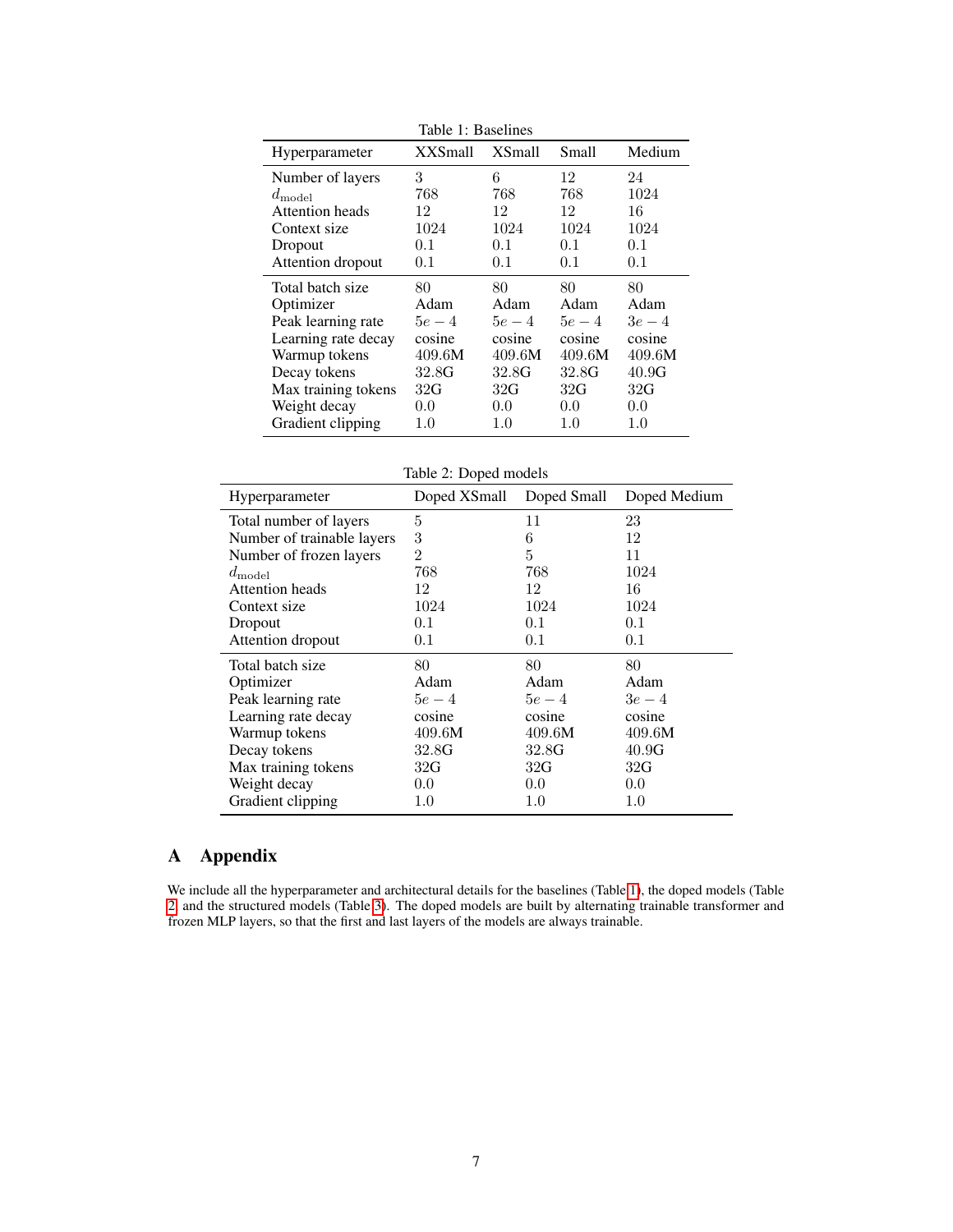<span id="page-0-0"></span>

| Table 1: Baselines  |                |         |               |        |  |  |
|---------------------|----------------|---------|---------------|--------|--|--|
| Hyperparameter      | <b>XXSmall</b> | XSmall  | Small         | Medium |  |  |
| Number of layers    | 3              | 6       | 12            | 24     |  |  |
| $d_{\text{model}}$  | 768            | 768     | 768           | 1024   |  |  |
| Attention heads     | 12             | 12      | 12            | 16     |  |  |
| Context size        | 1024           | 1024    | 1024          | 1024   |  |  |
| Dropout             | 0.1            | 0.1     | 0.1           | 0.1    |  |  |
| Attention dropout   | 0.1            | 0.1     | 0.1           | 0.1    |  |  |
| Total batch size    | 80             | 80      | 80            | 80     |  |  |
| Optimizer           | Adam           | Adam    | Adam          | Adam   |  |  |
| Peak learning rate  | $5e-4$         | $5e-4$  | $5e-4$        | $3e-4$ |  |  |
| Learning rate decay | cosine         | cosine  | cosine        | cosine |  |  |
| Warmup tokens       | 409.6M         | 409.6M  | 409.6M        | 409.6M |  |  |
| Decay tokens        | 32.8G          | 32.8G   | 32.8G         | 40.9G  |  |  |
| Max training tokens | 32G            | 32G     | 32G           | 32G    |  |  |
| Weight decay        | 0.0            | 0.0     | $0.0^{\circ}$ | 0.0    |  |  |
| Gradient clipping   | 1.0            | $1.0\,$ | $1.0\,$       | 1.0    |  |  |

 $T<sub>1</sub>$   $T<sub>2</sub>$   $T<sub>3</sub>$   $T<sub>4</sub>$ 

Table 2: Doped models

<span id="page-0-1"></span>

| Hyperparameter             | Doped XSmall   | Doped Small | Doped Medium |
|----------------------------|----------------|-------------|--------------|
| Total number of layers     | 5              | 11          | 23           |
| Number of trainable layers | 3              | 6           | 12           |
| Number of frozen layers    | $\overline{2}$ | 5           | 11           |
| $d_{\text{model}}$         | 768            | 768         | 1024         |
| Attention heads            | 12             | 12          | 16           |
| Context size               | 1024           | 1024        | 1024         |
| Dropout                    | 0.1            | 0.1         | 0.1          |
| Attention dropout          | 0.1            | 0.1         | 0.1          |
| Total batch size           | 80             | 80          | 80           |
| Optimizer                  | Adam           | Adam        | Adam         |
| Peak learning rate         | $5e-4$         | $5e-4$      | $3e-4$       |
| Learning rate decay        | cosine         | cosine      | cosine       |
| Warmup tokens              | 409.6M         | 409.6M      | 409.6M       |
| Decay tokens               | 32.8G          | 32.8G       | 40.9G        |
| Max training tokens        | 32G            | 32G         | 32G          |
| Weight decay               | 0.0            | 0.0         | 0.0          |
| Gradient clipping          | $1.0\,$        | $1.0\,$     | $1.0\,$      |

## A Appendix

We include all the hyperparameter and architectural details for the baselines (Table [1\)](#page-0-0), the doped models (Table [2,](#page-0-1) and the structured models (Table [3\)](#page-1-0). The doped models are built by alternating trainable transformer and frozen MLP layers, so that the first and last layers of the models are always trainable.